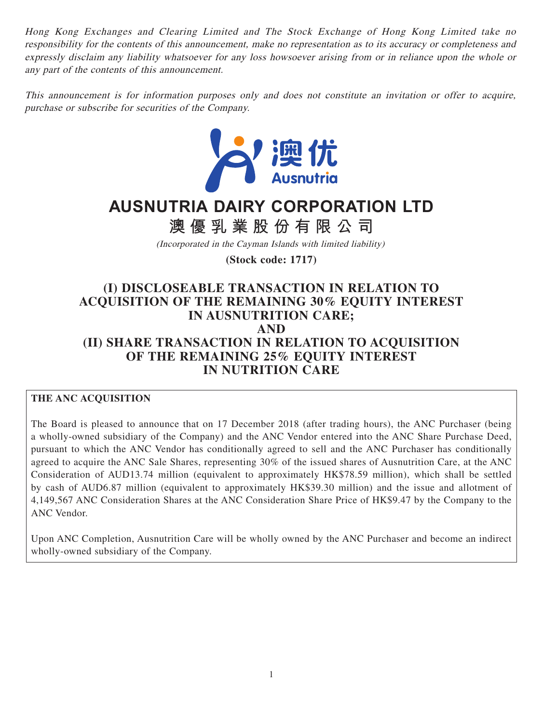Hong Kong Exchanges and Clearing Limited and The Stock Exchange of Hong Kong Limited take no responsibility for the contents of this announcement, make no representation as to its accuracy or completeness and expressly disclaim any liability whatsoever for any loss howsoever arising from or in reliance upon the whole or any part of the contents of this announcement.

This announcement is for information purposes only and does not constitute an invitation or offer to acquire, purchase or subscribe for securities of the Company.



# **AUSNUTRIA DAIRY CORPORATION LTD**

**澳優乳業股份有限公司**

(Incorporated in the Cayman Islands with limited liability)

**(Stock code: 1717)**

# **(I) DISCLOSEABLE TRANSACTION IN RELATION TO ACQUISITION OF THE REMAINING 30% EQUITY INTEREST IN AUSNUTRITION CARE; AND (II) SHARE TRANSACTION IN RELATION TO ACQUISITION OF THE REMAINING 25% EQUITY INTEREST IN NUTRITION CARE**

#### **THE ANC ACQUISITION**

The Board is pleased to announce that on 17 December 2018 (after trading hours), the ANC Purchaser (being a wholly-owned subsidiary of the Company) and the ANC Vendor entered into the ANC Share Purchase Deed, pursuant to which the ANC Vendor has conditionally agreed to sell and the ANC Purchaser has conditionally agreed to acquire the ANC Sale Shares, representing 30% of the issued shares of Ausnutrition Care, at the ANC Consideration of AUD13.74 million (equivalent to approximately HK\$78.59 million), which shall be settled by cash of AUD6.87 million (equivalent to approximately HK\$39.30 million) and the issue and allotment of 4,149,567 ANC Consideration Shares at the ANC Consideration Share Price of HK\$9.47 by the Company to the ANC Vendor.

Upon ANC Completion, Ausnutrition Care will be wholly owned by the ANC Purchaser and become an indirect wholly-owned subsidiary of the Company.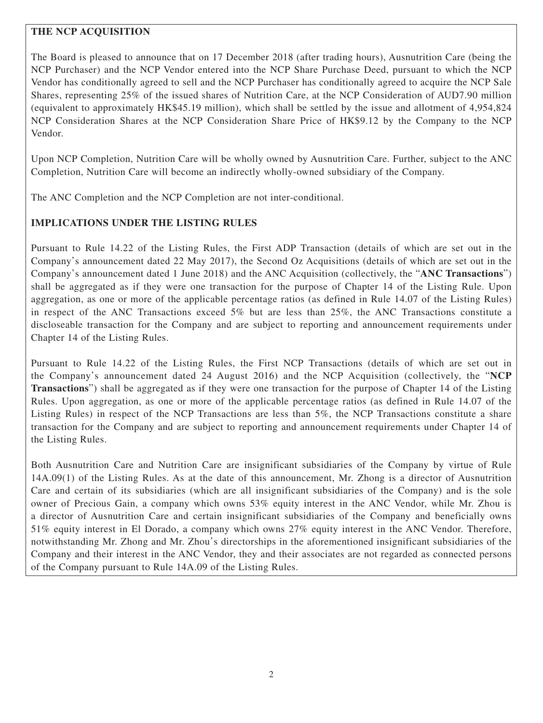# **THE NCP ACQUISITION**

The Board is pleased to announce that on 17 December 2018 (after trading hours), Ausnutrition Care (being the NCP Purchaser) and the NCP Vendor entered into the NCP Share Purchase Deed, pursuant to which the NCP Vendor has conditionally agreed to sell and the NCP Purchaser has conditionally agreed to acquire the NCP Sale Shares, representing 25% of the issued shares of Nutrition Care, at the NCP Consideration of AUD7.90 million (equivalent to approximately HK\$45.19 million), which shall be settled by the issue and allotment of 4,954,824 NCP Consideration Shares at the NCP Consideration Share Price of HK\$9.12 by the Company to the NCP Vendor.

Upon NCP Completion, Nutrition Care will be wholly owned by Ausnutrition Care. Further, subject to the ANC Completion, Nutrition Care will become an indirectly wholly-owned subsidiary of the Company.

The ANC Completion and the NCP Completion are not inter-conditional.

# **IMPLICATIONS UNDER THE LISTING RULES**

Pursuant to Rule 14.22 of the Listing Rules, the First ADP Transaction (details of which are set out in the Company's announcement dated 22 May 2017), the Second Oz Acquisitions (details of which are set out in the Company's announcement dated 1 June 2018) and the ANC Acquisition (collectively, the "**ANC Transactions**") shall be aggregated as if they were one transaction for the purpose of Chapter 14 of the Listing Rule. Upon aggregation, as one or more of the applicable percentage ratios (as defined in Rule 14.07 of the Listing Rules) in respect of the ANC Transactions exceed 5% but are less than 25%, the ANC Transactions constitute a discloseable transaction for the Company and are subject to reporting and announcement requirements under Chapter 14 of the Listing Rules.

Pursuant to Rule 14.22 of the Listing Rules, the First NCP Transactions (details of which are set out in the Company's announcement dated 24 August 2016) and the NCP Acquisition (collectively, the "**NCP Transactions**") shall be aggregated as if they were one transaction for the purpose of Chapter 14 of the Listing Rules. Upon aggregation, as one or more of the applicable percentage ratios (as defined in Rule 14.07 of the Listing Rules) in respect of the NCP Transactions are less than 5%, the NCP Transactions constitute a share transaction for the Company and are subject to reporting and announcement requirements under Chapter 14 of the Listing Rules.

Both Ausnutrition Care and Nutrition Care are insignificant subsidiaries of the Company by virtue of Rule 14A.09(1) of the Listing Rules. As at the date of this announcement, Mr. Zhong is a director of Ausnutrition Care and certain of its subsidiaries (which are all insignificant subsidiaries of the Company) and is the sole owner of Precious Gain, a company which owns 53% equity interest in the ANC Vendor, while Mr. Zhou is a director of Ausnutrition Care and certain insignificant subsidiaries of the Company and beneficially owns 51% equity interest in El Dorado, a company which owns 27% equity interest in the ANC Vendor. Therefore, notwithstanding Mr. Zhong and Mr. Zhou's directorships in the aforementioned insignificant subsidiaries of the Company and their interest in the ANC Vendor, they and their associates are not regarded as connected persons of the Company pursuant to Rule 14A.09 of the Listing Rules.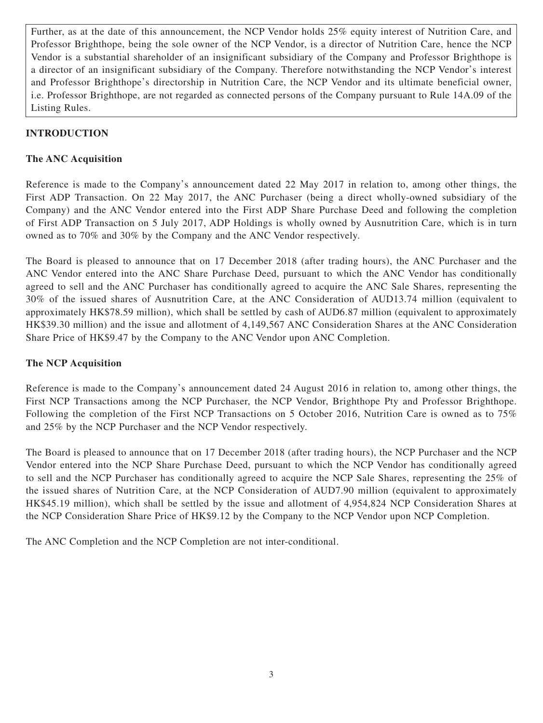Further, as at the date of this announcement, the NCP Vendor holds 25% equity interest of Nutrition Care, and Professor Brighthope, being the sole owner of the NCP Vendor, is a director of Nutrition Care, hence the NCP Vendor is a substantial shareholder of an insignificant subsidiary of the Company and Professor Brighthope is a director of an insignificant subsidiary of the Company. Therefore notwithstanding the NCP Vendor's interest and Professor Brighthope's directorship in Nutrition Care, the NCP Vendor and its ultimate beneficial owner, i.e. Professor Brighthope, are not regarded as connected persons of the Company pursuant to Rule 14A.09 of the Listing Rules.

# **INTRODUCTION**

#### **The ANC Acquisition**

Reference is made to the Company's announcement dated 22 May 2017 in relation to, among other things, the First ADP Transaction. On 22 May 2017, the ANC Purchaser (being a direct wholly-owned subsidiary of the Company) and the ANC Vendor entered into the First ADP Share Purchase Deed and following the completion of First ADP Transaction on 5 July 2017, ADP Holdings is wholly owned by Ausnutrition Care, which is in turn owned as to 70% and 30% by the Company and the ANC Vendor respectively.

The Board is pleased to announce that on 17 December 2018 (after trading hours), the ANC Purchaser and the ANC Vendor entered into the ANC Share Purchase Deed, pursuant to which the ANC Vendor has conditionally agreed to sell and the ANC Purchaser has conditionally agreed to acquire the ANC Sale Shares, representing the 30% of the issued shares of Ausnutrition Care, at the ANC Consideration of AUD13.74 million (equivalent to approximately HK\$78.59 million), which shall be settled by cash of AUD6.87 million (equivalent to approximately HK\$39.30 million) and the issue and allotment of 4,149,567 ANC Consideration Shares at the ANC Consideration Share Price of HK\$9.47 by the Company to the ANC Vendor upon ANC Completion.

#### **The NCP Acquisition**

Reference is made to the Company's announcement dated 24 August 2016 in relation to, among other things, the First NCP Transactions among the NCP Purchaser, the NCP Vendor, Brighthope Pty and Professor Brighthope. Following the completion of the First NCP Transactions on 5 October 2016, Nutrition Care is owned as to 75% and 25% by the NCP Purchaser and the NCP Vendor respectively.

The Board is pleased to announce that on 17 December 2018 (after trading hours), the NCP Purchaser and the NCP Vendor entered into the NCP Share Purchase Deed, pursuant to which the NCP Vendor has conditionally agreed to sell and the NCP Purchaser has conditionally agreed to acquire the NCP Sale Shares, representing the 25% of the issued shares of Nutrition Care, at the NCP Consideration of AUD7.90 million (equivalent to approximately HK\$45.19 million), which shall be settled by the issue and allotment of 4,954,824 NCP Consideration Shares at the NCP Consideration Share Price of HK\$9.12 by the Company to the NCP Vendor upon NCP Completion.

The ANC Completion and the NCP Completion are not inter-conditional.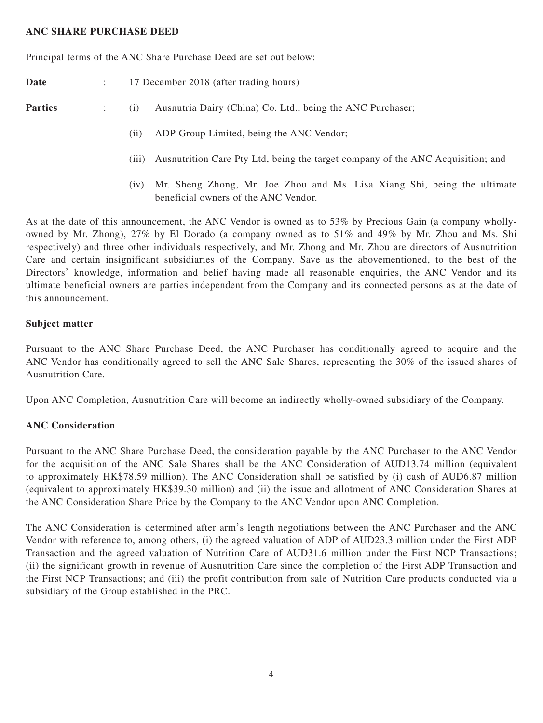#### **ANC SHARE PURCHASE DEED**

Principal terms of the ANC Share Purchase Deed are set out below:

Date : 17 December 2018 (after trading hours)

- **Parties** : (i) Ausnutria Dairy (China) Co. Ltd., being the ANC Purchaser;
	- (ii) ADP Group Limited, being the ANC Vendor;
	- (iii) Ausnutrition Care Pty Ltd, being the target company of the ANC Acquisition; and
	- (iv) Mr. Sheng Zhong, Mr. Joe Zhou and Ms. Lisa Xiang Shi, being the ultimate beneficial owners of the ANC Vendor.

As at the date of this announcement, the ANC Vendor is owned as to 53% by Precious Gain (a company whollyowned by Mr. Zhong), 27% by El Dorado (a company owned as to 51% and 49% by Mr. Zhou and Ms. Shi respectively) and three other individuals respectively, and Mr. Zhong and Mr. Zhou are directors of Ausnutrition Care and certain insignificant subsidiaries of the Company. Save as the abovementioned, to the best of the Directors' knowledge, information and belief having made all reasonable enquiries, the ANC Vendor and its ultimate beneficial owners are parties independent from the Company and its connected persons as at the date of this announcement.

#### **Subject matter**

Pursuant to the ANC Share Purchase Deed, the ANC Purchaser has conditionally agreed to acquire and the ANC Vendor has conditionally agreed to sell the ANC Sale Shares, representing the 30% of the issued shares of Ausnutrition Care.

Upon ANC Completion, Ausnutrition Care will become an indirectly wholly-owned subsidiary of the Company.

#### **ANC Consideration**

Pursuant to the ANC Share Purchase Deed, the consideration payable by the ANC Purchaser to the ANC Vendor for the acquisition of the ANC Sale Shares shall be the ANC Consideration of AUD13.74 million (equivalent to approximately HK\$78.59 million). The ANC Consideration shall be satisfied by (i) cash of AUD6.87 million (equivalent to approximately HK\$39.30 million) and (ii) the issue and allotment of ANC Consideration Shares at the ANC Consideration Share Price by the Company to the ANC Vendor upon ANC Completion.

The ANC Consideration is determined after arm's length negotiations between the ANC Purchaser and the ANC Vendor with reference to, among others, (i) the agreed valuation of ADP of AUD23.3 million under the First ADP Transaction and the agreed valuation of Nutrition Care of AUD31.6 million under the First NCP Transactions; (ii) the significant growth in revenue of Ausnutrition Care since the completion of the First ADP Transaction and the First NCP Transactions; and (iii) the profit contribution from sale of Nutrition Care products conducted via a subsidiary of the Group established in the PRC.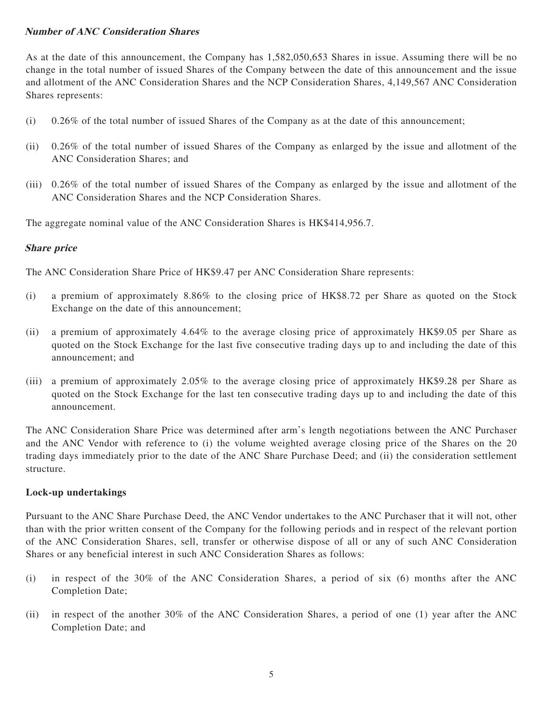#### **Number of ANC Consideration Shares**

As at the date of this announcement, the Company has 1,582,050,653 Shares in issue. Assuming there will be no change in the total number of issued Shares of the Company between the date of this announcement and the issue and allotment of the ANC Consideration Shares and the NCP Consideration Shares, 4,149,567 ANC Consideration Shares represents:

- (i) 0.26% of the total number of issued Shares of the Company as at the date of this announcement;
- (ii) 0.26% of the total number of issued Shares of the Company as enlarged by the issue and allotment of the ANC Consideration Shares; and
- (iii) 0.26% of the total number of issued Shares of the Company as enlarged by the issue and allotment of the ANC Consideration Shares and the NCP Consideration Shares.

The aggregate nominal value of the ANC Consideration Shares is HK\$414,956.7.

#### **Share price**

The ANC Consideration Share Price of HK\$9.47 per ANC Consideration Share represents:

- (i) a premium of approximately 8.86% to the closing price of HK\$8.72 per Share as quoted on the Stock Exchange on the date of this announcement;
- (ii) a premium of approximately 4.64% to the average closing price of approximately HK\$9.05 per Share as quoted on the Stock Exchange for the last five consecutive trading days up to and including the date of this announcement; and
- (iii) a premium of approximately 2.05% to the average closing price of approximately HK\$9.28 per Share as quoted on the Stock Exchange for the last ten consecutive trading days up to and including the date of this announcement.

The ANC Consideration Share Price was determined after arm's length negotiations between the ANC Purchaser and the ANC Vendor with reference to (i) the volume weighted average closing price of the Shares on the 20 trading days immediately prior to the date of the ANC Share Purchase Deed; and (ii) the consideration settlement structure.

#### **Lock-up undertakings**

Pursuant to the ANC Share Purchase Deed, the ANC Vendor undertakes to the ANC Purchaser that it will not, other than with the prior written consent of the Company for the following periods and in respect of the relevant portion of the ANC Consideration Shares, sell, transfer or otherwise dispose of all or any of such ANC Consideration Shares or any beneficial interest in such ANC Consideration Shares as follows:

- (i) in respect of the 30% of the ANC Consideration Shares, a period of six (6) months after the ANC Completion Date;
- (ii) in respect of the another 30% of the ANC Consideration Shares, a period of one (1) year after the ANC Completion Date; and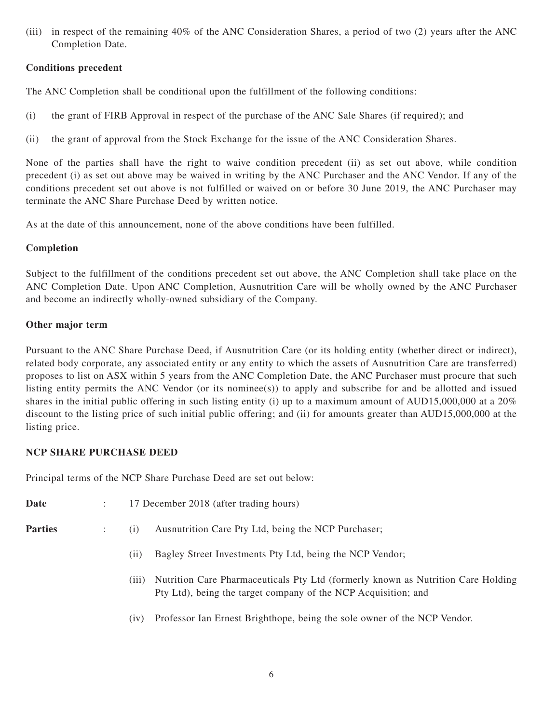(iii) in respect of the remaining 40% of the ANC Consideration Shares, a period of two (2) years after the ANC Completion Date.

#### **Conditions precedent**

The ANC Completion shall be conditional upon the fulfillment of the following conditions:

- (i) the grant of FIRB Approval in respect of the purchase of the ANC Sale Shares (if required); and
- (ii) the grant of approval from the Stock Exchange for the issue of the ANC Consideration Shares.

None of the parties shall have the right to waive condition precedent (ii) as set out above, while condition precedent (i) as set out above may be waived in writing by the ANC Purchaser and the ANC Vendor. If any of the conditions precedent set out above is not fulfilled or waived on or before 30 June 2019, the ANC Purchaser may terminate the ANC Share Purchase Deed by written notice.

As at the date of this announcement, none of the above conditions have been fulfilled.

#### **Completion**

Subject to the fulfillment of the conditions precedent set out above, the ANC Completion shall take place on the ANC Completion Date. Upon ANC Completion, Ausnutrition Care will be wholly owned by the ANC Purchaser and become an indirectly wholly-owned subsidiary of the Company.

#### **Other major term**

Pursuant to the ANC Share Purchase Deed, if Ausnutrition Care (or its holding entity (whether direct or indirect), related body corporate, any associated entity or any entity to which the assets of Ausnutrition Care are transferred) proposes to list on ASX within 5 years from the ANC Completion Date, the ANC Purchaser must procure that such listing entity permits the ANC Vendor (or its nominee(s)) to apply and subscribe for and be allotted and issued shares in the initial public offering in such listing entity (i) up to a maximum amount of AUD15,000,000 at a 20% discount to the listing price of such initial public offering; and (ii) for amounts greater than AUD15,000,000 at the listing price.

#### **NCP SHARE PURCHASE DEED**

Principal terms of the NCP Share Purchase Deed are set out below:

| Date           | 17 December 2018 (after trading hours) |                                                                                                                                                     |
|----------------|----------------------------------------|-----------------------------------------------------------------------------------------------------------------------------------------------------|
| <b>Parties</b> | (1)                                    | Ausnutrition Care Pty Ltd, being the NCP Purchaser;                                                                                                 |
|                | (11)                                   | Bagley Street Investments Pty Ltd, being the NCP Vendor;                                                                                            |
|                | (111)                                  | Nutrition Care Pharmaceuticals Pty Ltd (formerly known as Nutrition Care Holding)<br>Pty Ltd), being the target company of the NCP Acquisition; and |
|                | (1V)                                   | Professor Ian Ernest Brighthope, being the sole owner of the NCP Vendor.                                                                            |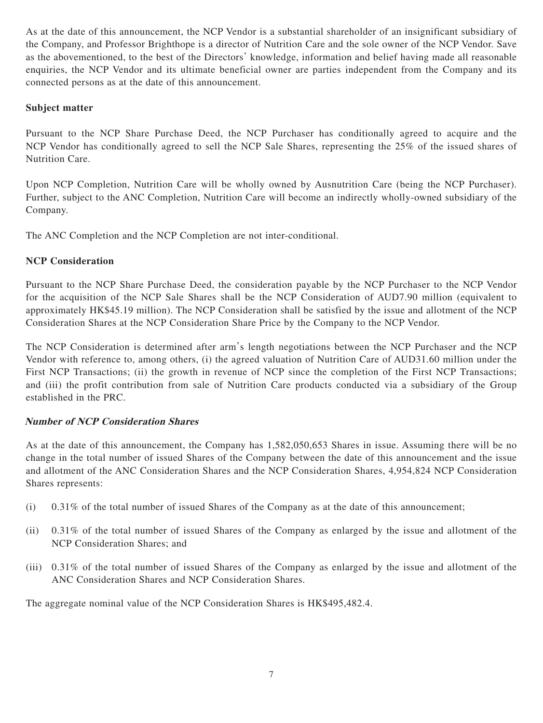As at the date of this announcement, the NCP Vendor is a substantial shareholder of an insignificant subsidiary of the Company, and Professor Brighthope is a director of Nutrition Care and the sole owner of the NCP Vendor. Save as the abovementioned, to the best of the Directors' knowledge, information and belief having made all reasonable enquiries, the NCP Vendor and its ultimate beneficial owner are parties independent from the Company and its connected persons as at the date of this announcement.

#### **Subject matter**

Pursuant to the NCP Share Purchase Deed, the NCP Purchaser has conditionally agreed to acquire and the NCP Vendor has conditionally agreed to sell the NCP Sale Shares, representing the 25% of the issued shares of Nutrition Care.

Upon NCP Completion, Nutrition Care will be wholly owned by Ausnutrition Care (being the NCP Purchaser). Further, subject to the ANC Completion, Nutrition Care will become an indirectly wholly-owned subsidiary of the Company.

The ANC Completion and the NCP Completion are not inter-conditional.

#### **NCP Consideration**

Pursuant to the NCP Share Purchase Deed, the consideration payable by the NCP Purchaser to the NCP Vendor for the acquisition of the NCP Sale Shares shall be the NCP Consideration of AUD7.90 million (equivalent to approximately HK\$45.19 million). The NCP Consideration shall be satisfied by the issue and allotment of the NCP Consideration Shares at the NCP Consideration Share Price by the Company to the NCP Vendor.

The NCP Consideration is determined after arm's length negotiations between the NCP Purchaser and the NCP Vendor with reference to, among others, (i) the agreed valuation of Nutrition Care of AUD31.60 million under the First NCP Transactions; (ii) the growth in revenue of NCP since the completion of the First NCP Transactions; and (iii) the profit contribution from sale of Nutrition Care products conducted via a subsidiary of the Group established in the PRC.

#### **Number of NCP Consideration Shares**

As at the date of this announcement, the Company has 1,582,050,653 Shares in issue. Assuming there will be no change in the total number of issued Shares of the Company between the date of this announcement and the issue and allotment of the ANC Consideration Shares and the NCP Consideration Shares, 4,954,824 NCP Consideration Shares represents:

- (i) 0.31% of the total number of issued Shares of the Company as at the date of this announcement;
- (ii) 0.31% of the total number of issued Shares of the Company as enlarged by the issue and allotment of the NCP Consideration Shares; and
- (iii) 0.31% of the total number of issued Shares of the Company as enlarged by the issue and allotment of the ANC Consideration Shares and NCP Consideration Shares.

The aggregate nominal value of the NCP Consideration Shares is HK\$495,482.4.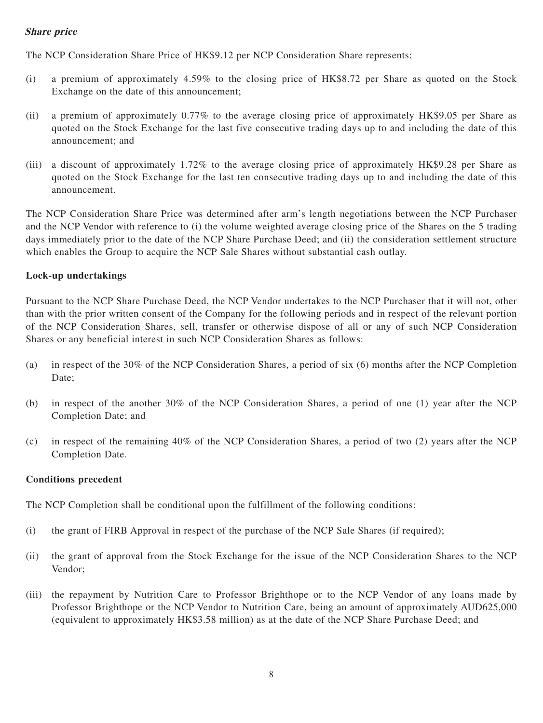#### **Share price**

The NCP Consideration Share Price of HK\$9.12 per NCP Consideration Share represents:

- (i) a premium of approximately 4.59% to the closing price of HK\$8.72 per Share as quoted on the Stock Exchange on the date of this announcement;
- (ii) a premium of approximately 0.77% to the average closing price of approximately HK\$9.05 per Share as quoted on the Stock Exchange for the last five consecutive trading days up to and including the date of this announcement; and
- (iii) a discount of approximately 1.72% to the average closing price of approximately HK\$9.28 per Share as quoted on the Stock Exchange for the last ten consecutive trading days up to and including the date of this announcement.

The NCP Consideration Share Price was determined after arm's length negotiations between the NCP Purchaser and the NCP Vendor with reference to (i) the volume weighted average closing price of the Shares on the 5 trading days immediately prior to the date of the NCP Share Purchase Deed; and (ii) the consideration settlement structure which enables the Group to acquire the NCP Sale Shares without substantial cash outlay.

#### **Lock-up undertakings**

Pursuant to the NCP Share Purchase Deed, the NCP Vendor undertakes to the NCP Purchaser that it will not, other than with the prior written consent of the Company for the following periods and in respect of the relevant portion of the NCP Consideration Shares, sell, transfer or otherwise dispose of all or any of such NCP Consideration Shares or any beneficial interest in such NCP Consideration Shares as follows:

- (a) in respect of the 30% of the NCP Consideration Shares, a period of six (6) months after the NCP Completion Date;
- (b) in respect of the another 30% of the NCP Consideration Shares, a period of one (1) year after the NCP Completion Date; and
- (c) in respect of the remaining 40% of the NCP Consideration Shares, a period of two (2) years after the NCP Completion Date.

#### **Conditions precedent**

The NCP Completion shall be conditional upon the fulfillment of the following conditions:

- (i) the grant of FIRB Approval in respect of the purchase of the NCP Sale Shares (if required);
- (ii) the grant of approval from the Stock Exchange for the issue of the NCP Consideration Shares to the NCP Vendor;
- (iii) the repayment by Nutrition Care to Professor Brighthope or to the NCP Vendor of any loans made by Professor Brighthope or the NCP Vendor to Nutrition Care, being an amount of approximately AUD625,000 (equivalent to approximately HK\$3.58 million) as at the date of the NCP Share Purchase Deed; and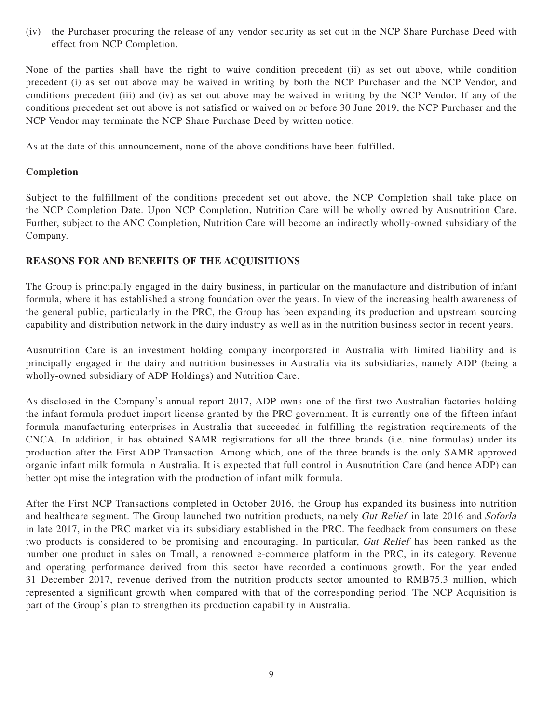(iv) the Purchaser procuring the release of any vendor security as set out in the NCP Share Purchase Deed with effect from NCP Completion.

None of the parties shall have the right to waive condition precedent (ii) as set out above, while condition precedent (i) as set out above may be waived in writing by both the NCP Purchaser and the NCP Vendor, and conditions precedent (iii) and (iv) as set out above may be waived in writing by the NCP Vendor. If any of the conditions precedent set out above is not satisfied or waived on or before 30 June 2019, the NCP Purchaser and the NCP Vendor may terminate the NCP Share Purchase Deed by written notice.

As at the date of this announcement, none of the above conditions have been fulfilled.

#### **Completion**

Subject to the fulfillment of the conditions precedent set out above, the NCP Completion shall take place on the NCP Completion Date. Upon NCP Completion, Nutrition Care will be wholly owned by Ausnutrition Care. Further, subject to the ANC Completion, Nutrition Care will become an indirectly wholly-owned subsidiary of the Company.

#### **REASONS FOR AND BENEFITS OF THE ACQUISITIONS**

The Group is principally engaged in the dairy business, in particular on the manufacture and distribution of infant formula, where it has established a strong foundation over the years. In view of the increasing health awareness of the general public, particularly in the PRC, the Group has been expanding its production and upstream sourcing capability and distribution network in the dairy industry as well as in the nutrition business sector in recent years.

Ausnutrition Care is an investment holding company incorporated in Australia with limited liability and is principally engaged in the dairy and nutrition businesses in Australia via its subsidiaries, namely ADP (being a wholly-owned subsidiary of ADP Holdings) and Nutrition Care.

As disclosed in the Company's annual report 2017, ADP owns one of the first two Australian factories holding the infant formula product import license granted by the PRC government. It is currently one of the fifteen infant formula manufacturing enterprises in Australia that succeeded in fulfilling the registration requirements of the CNCA. In addition, it has obtained SAMR registrations for all the three brands (i.e. nine formulas) under its production after the First ADP Transaction. Among which, one of the three brands is the only SAMR approved organic infant milk formula in Australia. It is expected that full control in Ausnutrition Care (and hence ADP) can better optimise the integration with the production of infant milk formula.

After the First NCP Transactions completed in October 2016, the Group has expanded its business into nutrition and healthcare segment. The Group launched two nutrition products, namely Gut Relief in late 2016 and Soforla in late 2017, in the PRC market via its subsidiary established in the PRC. The feedback from consumers on these two products is considered to be promising and encouraging. In particular, Gut Relief has been ranked as the number one product in sales on Tmall, a renowned e-commerce platform in the PRC, in its category. Revenue and operating performance derived from this sector have recorded a continuous growth. For the year ended 31 December 2017, revenue derived from the nutrition products sector amounted to RMB75.3 million, which represented a significant growth when compared with that of the corresponding period. The NCP Acquisition is part of the Group's plan to strengthen its production capability in Australia.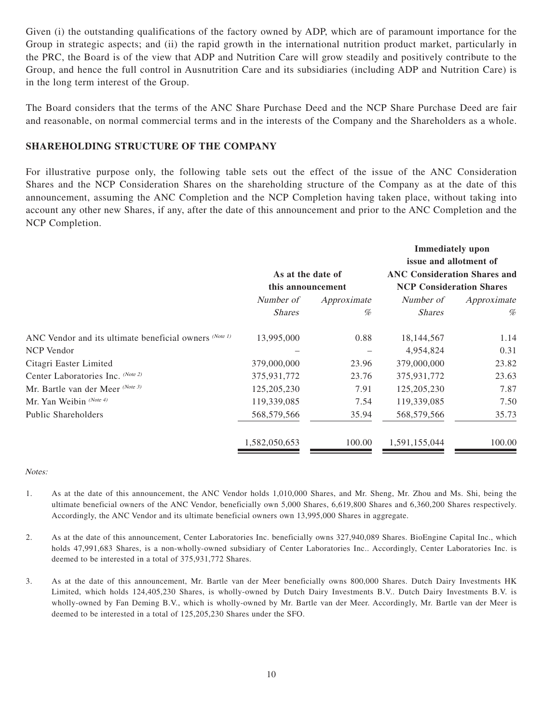Given (i) the outstanding qualifications of the factory owned by ADP, which are of paramount importance for the Group in strategic aspects; and (ii) the rapid growth in the international nutrition product market, particularly in the PRC, the Board is of the view that ADP and Nutrition Care will grow steadily and positively contribute to the Group, and hence the full control in Ausnutrition Care and its subsidiaries (including ADP and Nutrition Care) is in the long term interest of the Group.

The Board considers that the terms of the ANC Share Purchase Deed and the NCP Share Purchase Deed are fair and reasonable, on normal commercial terms and in the interests of the Company and the Shareholders as a whole.

#### **SHAREHOLDING STRUCTURE OF THE COMPANY**

For illustrative purpose only, the following table sets out the effect of the issue of the ANC Consideration Shares and the NCP Consideration Shares on the shareholding structure of the Company as at the date of this announcement, assuming the ANC Completion and the NCP Completion having taken place, without taking into account any other new Shares, if any, after the date of this announcement and prior to the ANC Completion and the NCP Completion.

|                                                        |                          |        | <b>Immediately</b> upon<br>issue and allotment of |             |
|--------------------------------------------------------|--------------------------|--------|---------------------------------------------------|-------------|
|                                                        | As at the date of        |        | <b>ANC Consideration Shares and</b>               |             |
|                                                        | this announcement        |        | <b>NCP Consideration Shares</b>                   |             |
|                                                        | Number of<br>Approximate |        | Number of                                         | Approximate |
|                                                        | <i>Shares</i>            | %      | <i>Shares</i>                                     | %           |
| ANC Vendor and its ultimate beneficial owners (Note 1) | 13,995,000               | 0.88   | 18, 144, 567                                      | 1.14        |
| <b>NCP</b> Vendor                                      |                          |        | 4,954,824                                         | 0.31        |
| Citagri Easter Limited                                 | 379,000,000              | 23.96  | 379,000,000                                       | 23.82       |
| Center Laboratories Inc. (Note 2)                      | 375,931,772              | 23.76  | 375,931,772                                       | 23.63       |
| Mr. Bartle van der Meer (Note 3)                       | 125, 205, 230            | 7.91   | 125, 205, 230                                     | 7.87        |
| Mr. Yan Weibin (Note 4)                                | 119,339,085              | 7.54   | 119,339,085                                       | 7.50        |
| Public Shareholders                                    | 568,579,566              | 35.94  | 568,579,566                                       | 35.73       |
|                                                        | 1,582,050,653            | 100.00 | 1,591,155,044                                     | 100.00      |

Notes:

- 1. As at the date of this announcement, the ANC Vendor holds 1,010,000 Shares, and Mr. Sheng, Mr. Zhou and Ms. Shi, being the ultimate beneficial owners of the ANC Vendor, beneficially own 5,000 Shares, 6,619,800 Shares and 6,360,200 Shares respectively. Accordingly, the ANC Vendor and its ultimate beneficial owners own 13,995,000 Shares in aggregate.
- 2. As at the date of this announcement, Center Laboratories Inc. beneficially owns 327,940,089 Shares. BioEngine Capital Inc., which holds 47,991,683 Shares, is a non-wholly-owned subsidiary of Center Laboratories Inc.. Accordingly, Center Laboratories Inc. is deemed to be interested in a total of 375,931,772 Shares.
- 3. As at the date of this announcement, Mr. Bartle van der Meer beneficially owns 800,000 Shares. Dutch Dairy Investments HK Limited, which holds 124,405,230 Shares, is wholly-owned by Dutch Dairy Investments B.V.. Dutch Dairy Investments B.V. is wholly-owned by Fan Deming B.V., which is wholly-owned by Mr. Bartle van der Meer. Accordingly, Mr. Bartle van der Meer is deemed to be interested in a total of 125,205,230 Shares under the SFO.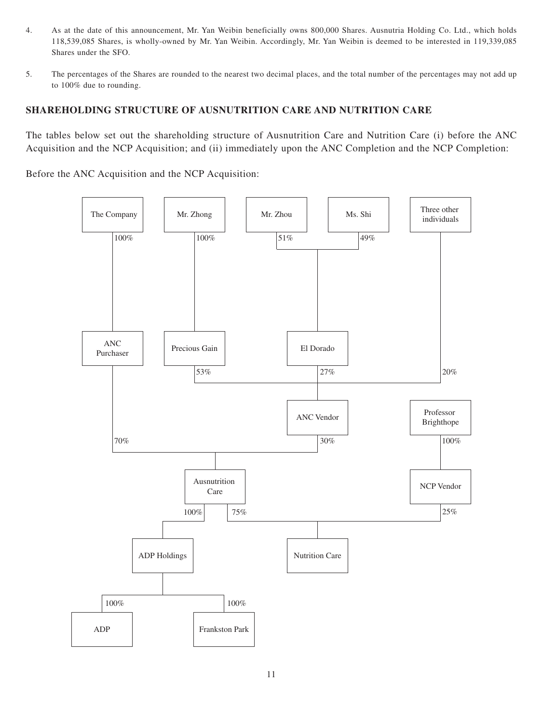- 4. As at the date of this announcement, Mr. Yan Weibin beneficially owns 800,000 Shares. Ausnutria Holding Co. Ltd., which holds 118,539,085 Shares, is wholly-owned by Mr. Yan Weibin. Accordingly, Mr. Yan Weibin is deemed to be interested in 119,339,085 Shares under the SFO.
- 5. The percentages of the Shares are rounded to the nearest two decimal places, and the total number of the percentages may not add up to 100% due to rounding.

### **SHAREHOLDING STRUCTURE OF AUSNUTRITION CARE AND NUTRITION CARE**

The tables below set out the shareholding structure of Ausnutrition Care and Nutrition Care (i) before the ANC Acquisition and the NCP Acquisition; and (ii) immediately upon the ANC Completion and the NCP Completion:

Before the ANC Acquisition and the NCP Acquisition:

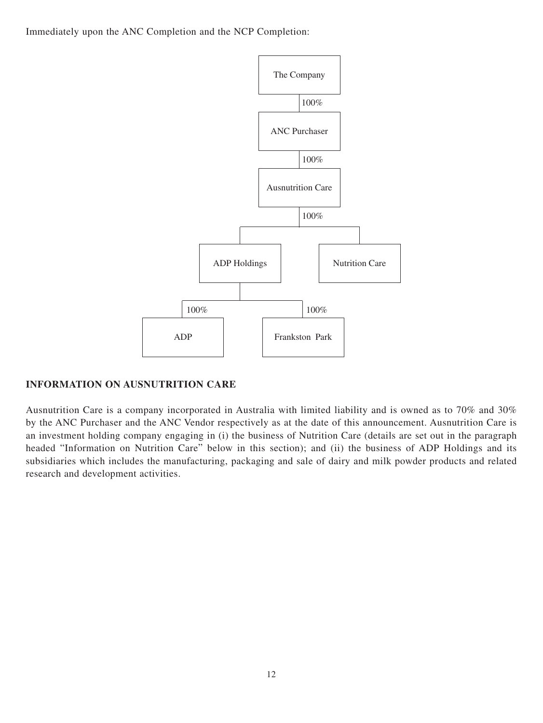Immediately upon the ANC Completion and the NCP Completion:



#### **INFORMATION ON AUSNUTRITION CARE**

Ausnutrition Care is a company incorporated in Australia with limited liability and is owned as to 70% and 30% by the ANC Purchaser and the ANC Vendor respectively as at the date of this announcement. Ausnutrition Care is an investment holding company engaging in (i) the business of Nutrition Care (details are set out in the paragraph headed "Information on Nutrition Care" below in this section); and (ii) the business of ADP Holdings and its subsidiaries which includes the manufacturing, packaging and sale of dairy and milk powder products and related research and development activities.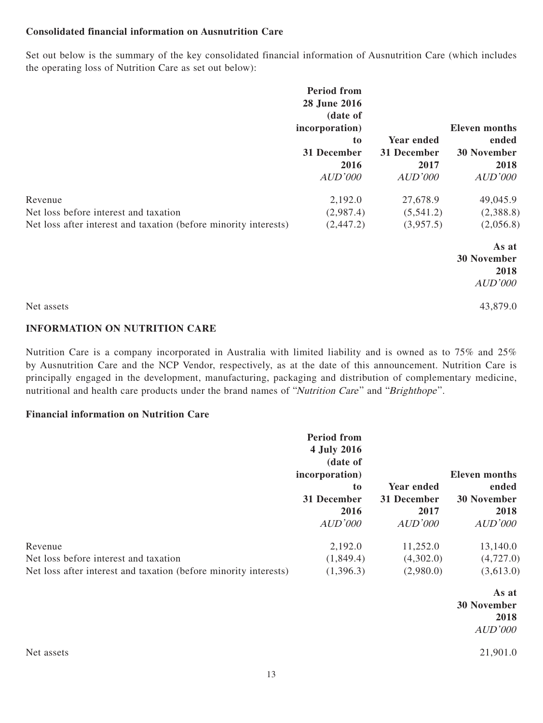#### **Consolidated financial information on Ausnutrition Care**

Set out below is the summary of the key consolidated financial information of Ausnutrition Care (which includes the operating loss of Nutrition Care as set out below):

|                                                                  | <b>Period from</b><br>28 June 2016<br>(date of<br>incorporation)<br>t <sub>0</sub> | <b>Year ended</b> | <b>Eleven months</b><br>ended |
|------------------------------------------------------------------|------------------------------------------------------------------------------------|-------------------|-------------------------------|
|                                                                  | 31 December                                                                        | 31 December       | <b>30 November</b>            |
|                                                                  | 2016                                                                               | 2017              | 2018                          |
|                                                                  | AUD'000                                                                            | AUD'000           | AUD'000                       |
| Revenue                                                          | 2,192.0                                                                            | 27,678.9          | 49,045.9                      |
| Net loss before interest and taxation                            | (2,987.4)                                                                          | (5,541.2)         | (2,388.8)                     |
| Net loss after interest and taxation (before minority interests) | (2,447.2)                                                                          | (3,957.5)         | (2,056.8)                     |
|                                                                  |                                                                                    |                   | As at                         |
|                                                                  |                                                                                    |                   | <b>30 November</b>            |
|                                                                  |                                                                                    |                   | 2018                          |
|                                                                  |                                                                                    |                   | AUD'000                       |
| Net assets                                                       |                                                                                    |                   | 43,879.0                      |

#### **INFORMATION ON NUTRITION CARE**

Nutrition Care is a company incorporated in Australia with limited liability and is owned as to 75% and 25% by Ausnutrition Care and the NCP Vendor, respectively, as at the date of this announcement. Nutrition Care is principally engaged in the development, manufacturing, packaging and distribution of complementary medicine, nutritional and health care products under the brand names of "Nutrition Care" and "Brighthope".

#### **Financial information on Nutrition Care**

|                                                                                                                      | <b>Period from</b><br>4 July 2016<br>(date of<br>incorporation)<br>to<br>31 December<br>2016<br>AUD'000 | <b>Year ended</b><br>31 December<br>2017<br>AUD'000 | <b>Eleven months</b><br>ended<br><b>30 November</b><br>2018<br>AUD'000 |
|----------------------------------------------------------------------------------------------------------------------|---------------------------------------------------------------------------------------------------------|-----------------------------------------------------|------------------------------------------------------------------------|
| Revenue<br>Net loss before interest and taxation<br>Net loss after interest and taxation (before minority interests) | 2,192.0<br>(1,849.4)<br>(1,396.3)                                                                       | 11,252.0<br>(4,302.0)<br>(2,980.0)                  | 13,140.0<br>(4,727.0)<br>(3,613.0)                                     |
|                                                                                                                      |                                                                                                         |                                                     | As at<br><b>30 November</b><br>2018<br>AUD'000                         |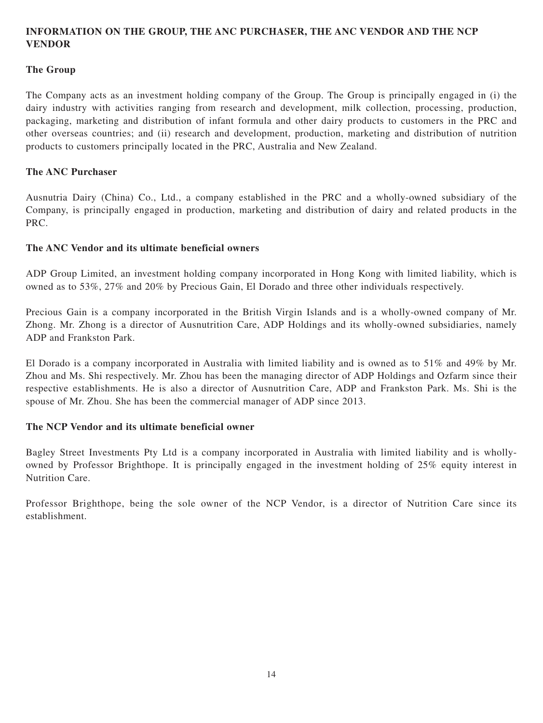# **INFORMATION ON THE GROUP, THE ANC PURCHASER, THE ANC VENDOR AND THE NCP VENDOR**

#### **The Group**

The Company acts as an investment holding company of the Group. The Group is principally engaged in (i) the dairy industry with activities ranging from research and development, milk collection, processing, production, packaging, marketing and distribution of infant formula and other dairy products to customers in the PRC and other overseas countries; and (ii) research and development, production, marketing and distribution of nutrition products to customers principally located in the PRC, Australia and New Zealand.

#### **The ANC Purchaser**

Ausnutria Dairy (China) Co., Ltd., a company established in the PRC and a wholly-owned subsidiary of the Company, is principally engaged in production, marketing and distribution of dairy and related products in the PRC.

#### **The ANC Vendor and its ultimate beneficial owners**

ADP Group Limited, an investment holding company incorporated in Hong Kong with limited liability, which is owned as to 53%, 27% and 20% by Precious Gain, El Dorado and three other individuals respectively.

Precious Gain is a company incorporated in the British Virgin Islands and is a wholly-owned company of Mr. Zhong. Mr. Zhong is a director of Ausnutrition Care, ADP Holdings and its wholly-owned subsidiaries, namely ADP and Frankston Park.

El Dorado is a company incorporated in Australia with limited liability and is owned as to 51% and 49% by Mr. Zhou and Ms. Shi respectively. Mr. Zhou has been the managing director of ADP Holdings and Ozfarm since their respective establishments. He is also a director of Ausnutrition Care, ADP and Frankston Park. Ms. Shi is the spouse of Mr. Zhou. She has been the commercial manager of ADP since 2013.

#### **The NCP Vendor and its ultimate beneficial owner**

Bagley Street Investments Pty Ltd is a company incorporated in Australia with limited liability and is whollyowned by Professor Brighthope. It is principally engaged in the investment holding of 25% equity interest in Nutrition Care.

Professor Brighthope, being the sole owner of the NCP Vendor, is a director of Nutrition Care since its establishment.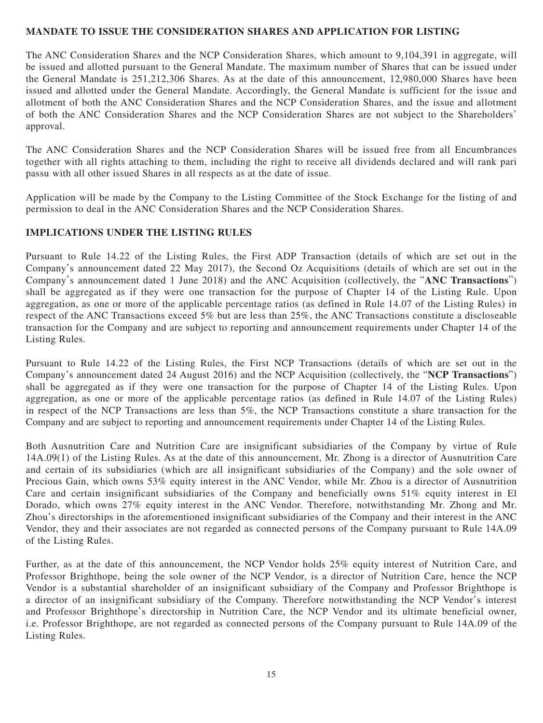#### **MANDATE TO ISSUE THE CONSIDERATION SHARES AND APPLICATION FOR LISTING**

The ANC Consideration Shares and the NCP Consideration Shares, which amount to 9,104,391 in aggregate, will be issued and allotted pursuant to the General Mandate. The maximum number of Shares that can be issued under the General Mandate is 251,212,306 Shares. As at the date of this announcement, 12,980,000 Shares have been issued and allotted under the General Mandate. Accordingly, the General Mandate is sufficient for the issue and allotment of both the ANC Consideration Shares and the NCP Consideration Shares, and the issue and allotment of both the ANC Consideration Shares and the NCP Consideration Shares are not subject to the Shareholders' approval.

The ANC Consideration Shares and the NCP Consideration Shares will be issued free from all Encumbrances together with all rights attaching to them, including the right to receive all dividends declared and will rank pari passu with all other issued Shares in all respects as at the date of issue.

Application will be made by the Company to the Listing Committee of the Stock Exchange for the listing of and permission to deal in the ANC Consideration Shares and the NCP Consideration Shares.

#### **IMPLICATIONS UNDER THE LISTING RULES**

Pursuant to Rule 14.22 of the Listing Rules, the First ADP Transaction (details of which are set out in the Company's announcement dated 22 May 2017), the Second Oz Acquisitions (details of which are set out in the Company's announcement dated 1 June 2018) and the ANC Acquisition (collectively, the "**ANC Transactions**") shall be aggregated as if they were one transaction for the purpose of Chapter 14 of the Listing Rule. Upon aggregation, as one or more of the applicable percentage ratios (as defined in Rule 14.07 of the Listing Rules) in respect of the ANC Transactions exceed 5% but are less than 25%, the ANC Transactions constitute a discloseable transaction for the Company and are subject to reporting and announcement requirements under Chapter 14 of the Listing Rules.

Pursuant to Rule 14.22 of the Listing Rules, the First NCP Transactions (details of which are set out in the Company's announcement dated 24 August 2016) and the NCP Acquisition (collectively, the "**NCP Transactions**") shall be aggregated as if they were one transaction for the purpose of Chapter 14 of the Listing Rules. Upon aggregation, as one or more of the applicable percentage ratios (as defined in Rule 14.07 of the Listing Rules) in respect of the NCP Transactions are less than 5%, the NCP Transactions constitute a share transaction for the Company and are subject to reporting and announcement requirements under Chapter 14 of the Listing Rules.

Both Ausnutrition Care and Nutrition Care are insignificant subsidiaries of the Company by virtue of Rule 14A.09(1) of the Listing Rules. As at the date of this announcement, Mr. Zhong is a director of Ausnutrition Care and certain of its subsidiaries (which are all insignificant subsidiaries of the Company) and the sole owner of Precious Gain, which owns 53% equity interest in the ANC Vendor, while Mr. Zhou is a director of Ausnutrition Care and certain insignificant subsidiaries of the Company and beneficially owns 51% equity interest in El Dorado, which owns 27% equity interest in the ANC Vendor. Therefore, notwithstanding Mr. Zhong and Mr. Zhou's directorships in the aforementioned insignificant subsidiaries of the Company and their interest in the ANC Vendor, they and their associates are not regarded as connected persons of the Company pursuant to Rule 14A.09 of the Listing Rules.

Further, as at the date of this announcement, the NCP Vendor holds 25% equity interest of Nutrition Care, and Professor Brighthope, being the sole owner of the NCP Vendor, is a director of Nutrition Care, hence the NCP Vendor is a substantial shareholder of an insignificant subsidiary of the Company and Professor Brighthope is a director of an insignificant subsidiary of the Company. Therefore notwithstanding the NCP Vendor's interest and Professor Brighthope's directorship in Nutrition Care, the NCP Vendor and its ultimate beneficial owner, i.e. Professor Brighthope, are not regarded as connected persons of the Company pursuant to Rule 14A.09 of the Listing Rules.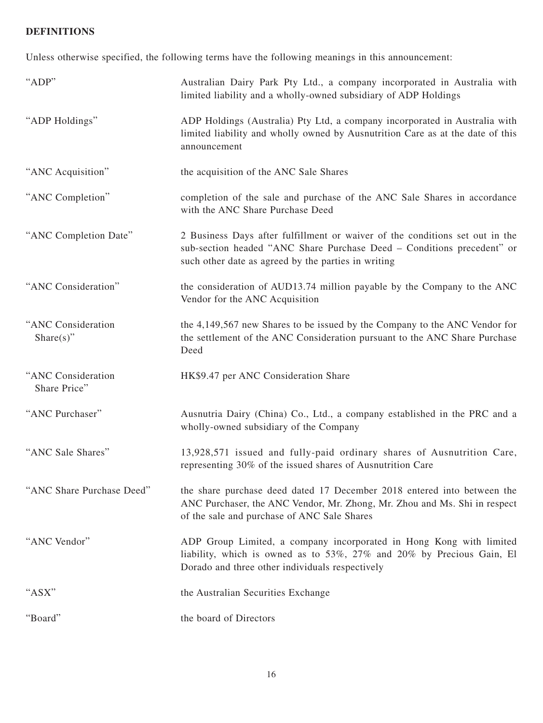# **DEFINITIONS**

Unless otherwise specified, the following terms have the following meanings in this announcement:

| "ADP"                               | Australian Dairy Park Pty Ltd., a company incorporated in Australia with<br>limited liability and a wholly-owned subsidiary of ADP Holdings                                                                   |
|-------------------------------------|---------------------------------------------------------------------------------------------------------------------------------------------------------------------------------------------------------------|
| "ADP Holdings"                      | ADP Holdings (Australia) Pty Ltd, a company incorporated in Australia with<br>limited liability and wholly owned by Ausnutrition Care as at the date of this<br>announcement                                  |
| "ANC Acquisition"                   | the acquisition of the ANC Sale Shares                                                                                                                                                                        |
| "ANC Completion"                    | completion of the sale and purchase of the ANC Sale Shares in accordance<br>with the ANC Share Purchase Deed                                                                                                  |
| "ANC Completion Date"               | 2 Business Days after fulfillment or waiver of the conditions set out in the<br>sub-section headed "ANC Share Purchase Deed - Conditions precedent" or<br>such other date as agreed by the parties in writing |
| "ANC Consideration"                 | the consideration of AUD13.74 million payable by the Company to the ANC<br>Vendor for the ANC Acquisition                                                                                                     |
| "ANC Consideration<br>Share $(s)$ " | the 4,149,567 new Shares to be issued by the Company to the ANC Vendor for<br>the settlement of the ANC Consideration pursuant to the ANC Share Purchase<br>Deed                                              |
| "ANC Consideration<br>Share Price"  | HK\$9.47 per ANC Consideration Share                                                                                                                                                                          |
| "ANC Purchaser"                     | Ausnutria Dairy (China) Co., Ltd., a company established in the PRC and a<br>wholly-owned subsidiary of the Company                                                                                           |
| "ANC Sale Shares"                   | 13,928,571 issued and fully-paid ordinary shares of Ausnutrition Care,<br>representing 30% of the issued shares of Ausnutrition Care                                                                          |
| "ANC Share Purchase Deed"           | the share purchase deed dated 17 December 2018 entered into between the<br>ANC Purchaser, the ANC Vendor, Mr. Zhong, Mr. Zhou and Ms. Shi in respect<br>of the sale and purchase of ANC Sale Shares           |
| "ANC Vendor"                        | ADP Group Limited, a company incorporated in Hong Kong with limited<br>liability, which is owned as to 53%, 27% and 20% by Precious Gain, El<br>Dorado and three other individuals respectively               |
| "ASX"                               | the Australian Securities Exchange                                                                                                                                                                            |
| "Board"                             | the board of Directors                                                                                                                                                                                        |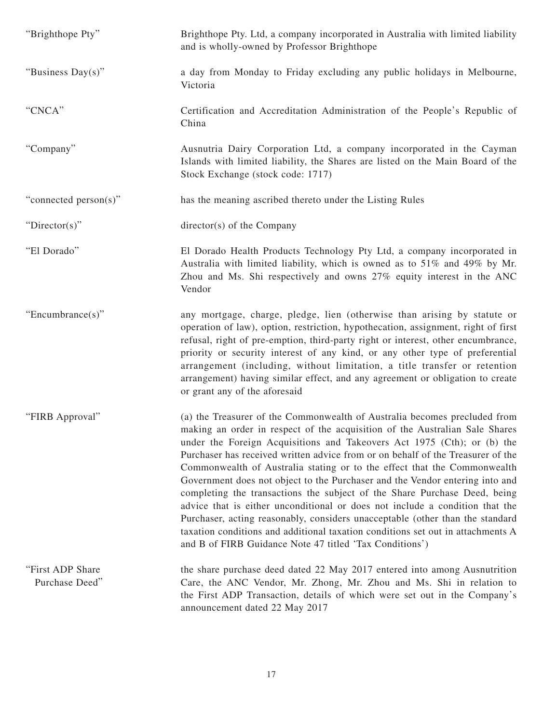| "Brighthope Pty"                   | Brighthope Pty. Ltd, a company incorporated in Australia with limited liability<br>and is wholly-owned by Professor Brighthope                                                                                                                                                                                                                                                                                                                                                                                                                                                                                                                                                                                                                                                                                                                                                 |
|------------------------------------|--------------------------------------------------------------------------------------------------------------------------------------------------------------------------------------------------------------------------------------------------------------------------------------------------------------------------------------------------------------------------------------------------------------------------------------------------------------------------------------------------------------------------------------------------------------------------------------------------------------------------------------------------------------------------------------------------------------------------------------------------------------------------------------------------------------------------------------------------------------------------------|
| "Business Day(s)"                  | a day from Monday to Friday excluding any public holidays in Melbourne,<br>Victoria                                                                                                                                                                                                                                                                                                                                                                                                                                                                                                                                                                                                                                                                                                                                                                                            |
| "CNCA"                             | Certification and Accreditation Administration of the People's Republic of<br>China                                                                                                                                                                                                                                                                                                                                                                                                                                                                                                                                                                                                                                                                                                                                                                                            |
| "Company"                          | Ausnutria Dairy Corporation Ltd, a company incorporated in the Cayman<br>Islands with limited liability, the Shares are listed on the Main Board of the<br>Stock Exchange (stock code: 1717)                                                                                                                                                                                                                                                                                                                                                                                                                                                                                                                                                                                                                                                                                   |
| "connected person(s)"              | has the meaning ascribed thereto under the Listing Rules                                                                                                                                                                                                                                                                                                                                                                                                                                                                                                                                                                                                                                                                                                                                                                                                                       |
| "Director(s)"                      | $directory(s)$ of the Company                                                                                                                                                                                                                                                                                                                                                                                                                                                                                                                                                                                                                                                                                                                                                                                                                                                  |
| "El Dorado"                        | El Dorado Health Products Technology Pty Ltd, a company incorporated in<br>Australia with limited liability, which is owned as to 51% and 49% by Mr.<br>Zhou and Ms. Shi respectively and owns 27% equity interest in the ANC<br>Vendor                                                                                                                                                                                                                                                                                                                                                                                                                                                                                                                                                                                                                                        |
| "Encumbrance $(s)$ "               | any mortgage, charge, pledge, lien (otherwise than arising by statute or<br>operation of law), option, restriction, hypothecation, assignment, right of first<br>refusal, right of pre-emption, third-party right or interest, other encumbrance,<br>priority or security interest of any kind, or any other type of preferential<br>arrangement (including, without limitation, a title transfer or retention<br>arrangement) having similar effect, and any agreement or obligation to create<br>or grant any of the aforesaid                                                                                                                                                                                                                                                                                                                                               |
| "FIRB Approval"                    | (a) the Treasurer of the Commonwealth of Australia becomes precluded from<br>making an order in respect of the acquisition of the Australian Sale Shares<br>under the Foreign Acquisitions and Takeovers Act 1975 (Cth); or (b) the<br>Purchaser has received written advice from or on behalf of the Treasurer of the<br>Commonwealth of Australia stating or to the effect that the Commonwealth<br>Government does not object to the Purchaser and the Vendor entering into and<br>completing the transactions the subject of the Share Purchase Deed, being<br>advice that is either unconditional or does not include a condition that the<br>Purchaser, acting reasonably, considers unacceptable (other than the standard<br>taxation conditions and additional taxation conditions set out in attachments A<br>and B of FIRB Guidance Note 47 titled 'Tax Conditions') |
| "First ADP Share<br>Purchase Deed" | the share purchase deed dated 22 May 2017 entered into among Ausnutrition<br>Care, the ANC Vendor, Mr. Zhong, Mr. Zhou and Ms. Shi in relation to<br>the First ADP Transaction, details of which were set out in the Company's<br>announcement dated 22 May 2017                                                                                                                                                                                                                                                                                                                                                                                                                                                                                                                                                                                                               |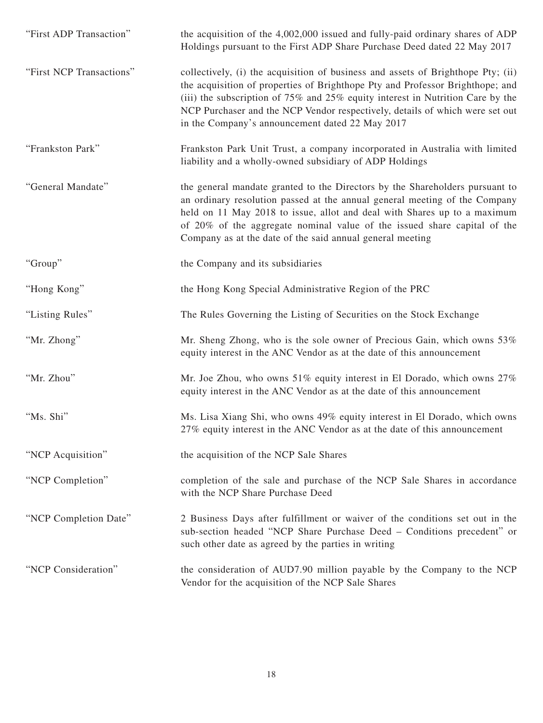| "First ADP Transaction"  | the acquisition of the 4,002,000 issued and fully-paid ordinary shares of ADP<br>Holdings pursuant to the First ADP Share Purchase Deed dated 22 May 2017                                                                                                                                                                                                                              |
|--------------------------|----------------------------------------------------------------------------------------------------------------------------------------------------------------------------------------------------------------------------------------------------------------------------------------------------------------------------------------------------------------------------------------|
| "First NCP Transactions" | collectively, (i) the acquisition of business and assets of Brighthope Pty; (ii)<br>the acquisition of properties of Brighthope Pty and Professor Brighthope; and<br>(iii) the subscription of 75% and 25% equity interest in Nutrition Care by the<br>NCP Purchaser and the NCP Vendor respectively, details of which were set out<br>in the Company's announcement dated 22 May 2017 |
| "Frankston Park"         | Frankston Park Unit Trust, a company incorporated in Australia with limited<br>liability and a wholly-owned subsidiary of ADP Holdings                                                                                                                                                                                                                                                 |
| "General Mandate"        | the general mandate granted to the Directors by the Shareholders pursuant to<br>an ordinary resolution passed at the annual general meeting of the Company<br>held on 11 May 2018 to issue, allot and deal with Shares up to a maximum<br>of 20% of the aggregate nominal value of the issued share capital of the<br>Company as at the date of the said annual general meeting        |
| "Group"                  | the Company and its subsidiaries                                                                                                                                                                                                                                                                                                                                                       |
| "Hong Kong"              | the Hong Kong Special Administrative Region of the PRC                                                                                                                                                                                                                                                                                                                                 |
| "Listing Rules"          | The Rules Governing the Listing of Securities on the Stock Exchange                                                                                                                                                                                                                                                                                                                    |
| "Mr. Zhong"              | Mr. Sheng Zhong, who is the sole owner of Precious Gain, which owns 53%<br>equity interest in the ANC Vendor as at the date of this announcement                                                                                                                                                                                                                                       |
| "Mr. Zhou"               | Mr. Joe Zhou, who owns 51% equity interest in El Dorado, which owns 27%<br>equity interest in the ANC Vendor as at the date of this announcement                                                                                                                                                                                                                                       |
| "Ms. Shi"                | Ms. Lisa Xiang Shi, who owns 49% equity interest in El Dorado, which owns<br>27% equity interest in the ANC Vendor as at the date of this announcement                                                                                                                                                                                                                                 |
| "NCP Acquisition"        | the acquisition of the NCP Sale Shares                                                                                                                                                                                                                                                                                                                                                 |
| "NCP Completion"         | completion of the sale and purchase of the NCP Sale Shares in accordance<br>with the NCP Share Purchase Deed                                                                                                                                                                                                                                                                           |
| "NCP Completion Date"    | 2 Business Days after fulfillment or waiver of the conditions set out in the<br>sub-section headed "NCP Share Purchase Deed - Conditions precedent" or<br>such other date as agreed by the parties in writing                                                                                                                                                                          |
| "NCP Consideration"      | the consideration of AUD7.90 million payable by the Company to the NCP<br>Vendor for the acquisition of the NCP Sale Shares                                                                                                                                                                                                                                                            |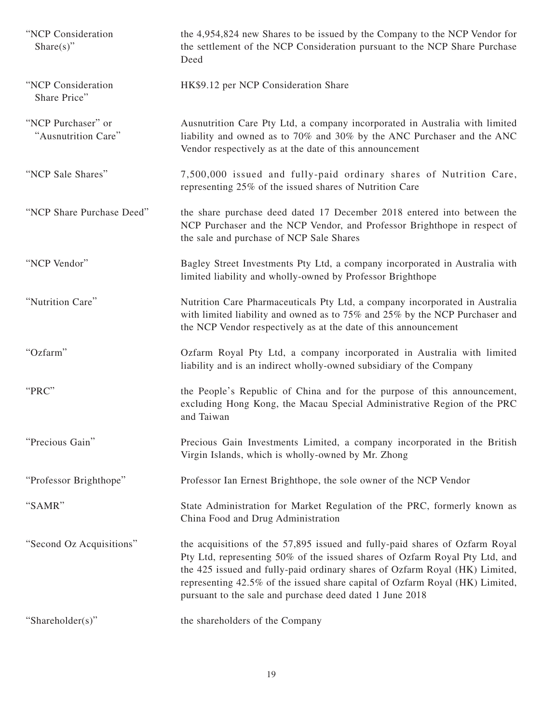| "NCP Consideration<br>Share(s)"           | the 4,954,824 new Shares to be issued by the Company to the NCP Vendor for<br>the settlement of the NCP Consideration pursuant to the NCP Share Purchase<br>Deed                                                                                                                                                                                                                      |
|-------------------------------------------|---------------------------------------------------------------------------------------------------------------------------------------------------------------------------------------------------------------------------------------------------------------------------------------------------------------------------------------------------------------------------------------|
| "NCP Consideration<br>Share Price"        | HK\$9.12 per NCP Consideration Share                                                                                                                                                                                                                                                                                                                                                  |
| "NCP Purchaser" or<br>"Ausnutrition Care" | Ausnutrition Care Pty Ltd, a company incorporated in Australia with limited<br>liability and owned as to 70% and 30% by the ANC Purchaser and the ANC<br>Vendor respectively as at the date of this announcement                                                                                                                                                                      |
| "NCP Sale Shares"                         | 7,500,000 issued and fully-paid ordinary shares of Nutrition Care,<br>representing 25% of the issued shares of Nutrition Care                                                                                                                                                                                                                                                         |
| "NCP Share Purchase Deed"                 | the share purchase deed dated 17 December 2018 entered into between the<br>NCP Purchaser and the NCP Vendor, and Professor Brighthope in respect of<br>the sale and purchase of NCP Sale Shares                                                                                                                                                                                       |
| "NCP Vendor"                              | Bagley Street Investments Pty Ltd, a company incorporated in Australia with<br>limited liability and wholly-owned by Professor Brighthope                                                                                                                                                                                                                                             |
| "Nutrition Care"                          | Nutrition Care Pharmaceuticals Pty Ltd, a company incorporated in Australia<br>with limited liability and owned as to 75% and 25% by the NCP Purchaser and<br>the NCP Vendor respectively as at the date of this announcement                                                                                                                                                         |
| "Ozfarm"                                  | Ozfarm Royal Pty Ltd, a company incorporated in Australia with limited<br>liability and is an indirect wholly-owned subsidiary of the Company                                                                                                                                                                                                                                         |
| "PRC"                                     | the People's Republic of China and for the purpose of this announcement,<br>excluding Hong Kong, the Macau Special Administrative Region of the PRC<br>and Taiwan                                                                                                                                                                                                                     |
| "Precious Gain"                           | Precious Gain Investments Limited, a company incorporated in the British<br>Virgin Islands, which is wholly-owned by Mr. Zhong                                                                                                                                                                                                                                                        |
| "Professor Brighthope"                    | Professor Ian Ernest Brighthope, the sole owner of the NCP Vendor                                                                                                                                                                                                                                                                                                                     |
| "SAMR"                                    | State Administration for Market Regulation of the PRC, formerly known as<br>China Food and Drug Administration                                                                                                                                                                                                                                                                        |
| "Second Oz Acquisitions"                  | the acquisitions of the 57,895 issued and fully-paid shares of Ozfarm Royal<br>Pty Ltd, representing 50% of the issued shares of Ozfarm Royal Pty Ltd, and<br>the 425 issued and fully-paid ordinary shares of Ozfarm Royal (HK) Limited,<br>representing 42.5% of the issued share capital of Ozfarm Royal (HK) Limited,<br>pursuant to the sale and purchase deed dated 1 June 2018 |
| "Shareholder(s)"                          | the shareholders of the Company                                                                                                                                                                                                                                                                                                                                                       |